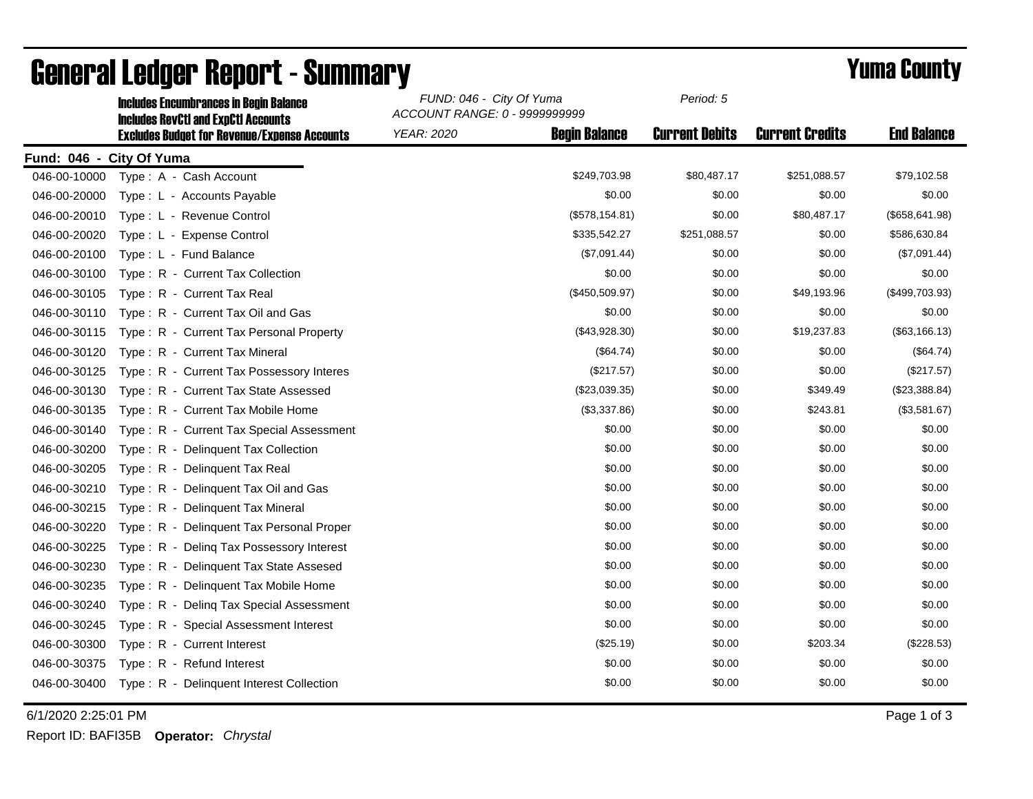|                          | <b>Includes Encumbrances in Begin Balance</b>                                                     | FUND: 046 - City Of Yuma<br>ACCOUNT RANGE: 0 - 9999999999 |                 | Period: 5             |                        |                    |
|--------------------------|---------------------------------------------------------------------------------------------------|-----------------------------------------------------------|-----------------|-----------------------|------------------------|--------------------|
|                          | <b>Includes RevCtI and ExpCtI Accounts</b><br><b>Excludes Budget for Revenue/Expense Accounts</b> | <b>YEAR: 2020</b><br><b>Begin Balance</b>                 |                 | <b>Current Debits</b> | <b>Current Credits</b> | <b>End Balance</b> |
| Fund: 046 - City Of Yuma |                                                                                                   |                                                           |                 |                       |                        |                    |
| 046-00-10000             | Type: A - Cash Account                                                                            |                                                           | \$249,703.98    | \$80,487.17           | \$251,088.57           | \$79,102.58        |
| 046-00-20000             | Type: L - Accounts Payable                                                                        |                                                           | \$0.00          | \$0.00                | \$0.00                 | \$0.00             |
| 046-00-20010             | Type: L - Revenue Control                                                                         |                                                           | (\$578, 154.81) | \$0.00                | \$80,487.17            | (\$658, 641.98)    |
| 046-00-20020             | Type: L - Expense Control                                                                         |                                                           | \$335,542.27    | \$251,088.57          | \$0.00                 | \$586,630.84       |
| 046-00-20100             | Type: L - Fund Balance                                                                            |                                                           | (\$7,091.44)    | \$0.00                | \$0.00                 | (\$7,091.44)       |
| 046-00-30100             | Type: R - Current Tax Collection                                                                  |                                                           | \$0.00          | \$0.00                | \$0.00                 | \$0.00             |
| 046-00-30105             | Type: R - Current Tax Real                                                                        |                                                           | (\$450,509.97)  | \$0.00                | \$49,193.96            | (\$499,703.93)     |
| 046-00-30110             | Type: R - Current Tax Oil and Gas                                                                 |                                                           | \$0.00          | \$0.00                | \$0.00                 | \$0.00             |
| 046-00-30115             | Type: R - Current Tax Personal Property                                                           |                                                           | (\$43,928.30)   | \$0.00                | \$19,237.83            | (\$63, 166.13)     |
| 046-00-30120             | Type: R - Current Tax Mineral                                                                     |                                                           | (\$64.74)       | \$0.00                | \$0.00                 | (\$64.74)          |
| 046-00-30125             | Type: R - Current Tax Possessory Interes                                                          |                                                           | (\$217.57)      | \$0.00                | \$0.00                 | (\$217.57)         |
| 046-00-30130             | Type: R - Current Tax State Assessed                                                              |                                                           | (\$23,039.35)   | \$0.00                | \$349.49               | (\$23,388.84)      |
| 046-00-30135             | Type: R - Current Tax Mobile Home                                                                 |                                                           | (\$3,337.86)    | \$0.00                | \$243.81               | (\$3,581.67)       |
| 046-00-30140             | Type: R - Current Tax Special Assessment                                                          |                                                           | \$0.00          | \$0.00                | \$0.00                 | \$0.00             |
| 046-00-30200             | Type: R - Delinquent Tax Collection                                                               |                                                           | \$0.00          | \$0.00                | \$0.00                 | \$0.00             |
| 046-00-30205             | Type: R - Delinquent Tax Real                                                                     |                                                           | \$0.00          | \$0.00                | \$0.00                 | \$0.00             |
| 046-00-30210             | Type: R - Delinquent Tax Oil and Gas                                                              |                                                           | \$0.00          | \$0.00                | \$0.00                 | \$0.00             |
| 046-00-30215             | Type: R - Delinguent Tax Mineral                                                                  |                                                           | \$0.00          | \$0.00                | \$0.00                 | \$0.00             |
| 046-00-30220             | Type: R - Delinquent Tax Personal Proper                                                          |                                                           | \$0.00          | \$0.00                | \$0.00                 | \$0.00             |
| 046-00-30225             | Type: R - Deling Tax Possessory Interest                                                          |                                                           | \$0.00          | \$0.00                | \$0.00                 | \$0.00             |
| 046-00-30230             | Type: R - Delinquent Tax State Assesed                                                            |                                                           | \$0.00          | \$0.00                | \$0.00                 | \$0.00             |
| 046-00-30235             | Type: R - Delinguent Tax Mobile Home                                                              |                                                           | \$0.00          | \$0.00                | \$0.00                 | \$0.00             |
| 046-00-30240             | Type: R - Deling Tax Special Assessment                                                           |                                                           | \$0.00          | \$0.00                | \$0.00                 | \$0.00             |
| 046-00-30245             | Type: R - Special Assessment Interest                                                             |                                                           | \$0.00          | \$0.00                | \$0.00                 | \$0.00             |
| 046-00-30300             | Type: R - Current Interest                                                                        |                                                           | (\$25.19)       | \$0.00                | \$203.34               | (\$228.53)         |
| 046-00-30375             | Type: R - Refund Interest                                                                         |                                                           | \$0.00          | \$0.00                | \$0.00                 | \$0.00             |
| 046-00-30400             | Type: R - Delinquent Interest Collection                                                          |                                                           | \$0.00          | \$0.00                | \$0.00                 | \$0.00             |

## General Ledger Report - Summary<br>
FUND: 046 - City Of Yuma<br>
Period: 5<br>
Period: 5

6/1/2020 2:25:01 PM Page 1 of 3

Report ID: BAFI35B **Operator:** *Chrystal*

*Period: 5*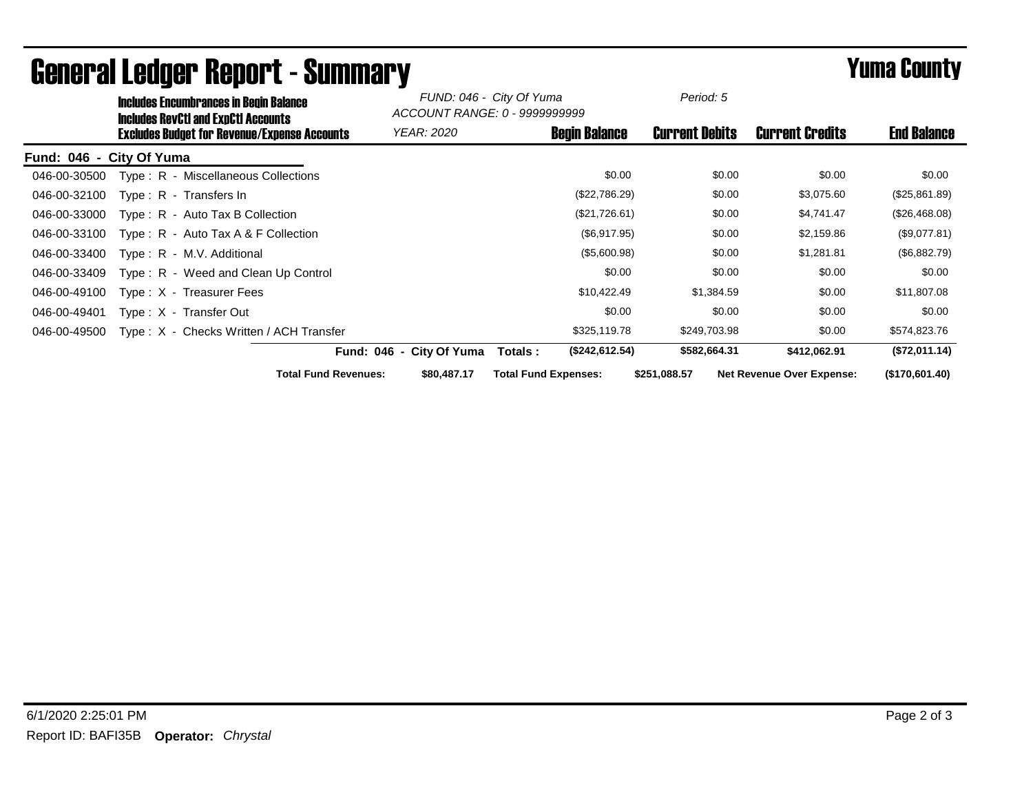| <b>Includes Encumbrances in Begin Balance</b><br><b>Includes RevCtI and ExpCtI Accounts</b> |                                            | FUND: 046 - City Of Yuma<br>ACCOUNT RANGE: 0 - 9999999999 |                       |                                  |                    |
|---------------------------------------------------------------------------------------------|--------------------------------------------|-----------------------------------------------------------|-----------------------|----------------------------------|--------------------|
| <b>Excludes Budget for Revenue/Expense Accounts</b>                                         | YEAR: 2020                                 | <b>Begin Balance</b>                                      | <b>Current Debits</b> | <b>Current Credits</b>           | <b>End Balance</b> |
| Fund: 046 - City Of Yuma                                                                    |                                            |                                                           |                       |                                  |                    |
| Type: R - Miscellaneous Collections<br>046-00-30500                                         |                                            | \$0.00                                                    | \$0.00                | \$0.00                           | \$0.00             |
| 046-00-32100<br>$Type: R - Transfers In$                                                    |                                            | (\$22,786.29)                                             | \$0.00                | \$3,075.60                       | (\$25,861.89)      |
| 046-00-33000<br>$Type: R - Auto Tax B Collection$                                           |                                            | (\$21,726.61)                                             | \$0.00                | \$4,741.47                       | (\$26,468.08)      |
| 046-00-33100<br>Type: $R -$ Auto Tax A & F Collection                                       |                                            | (\$6,917.95)                                              | \$0.00                | \$2,159.86                       | (\$9,077.81)       |
| 046-00-33400<br>Type: R - M.V. Additional                                                   |                                            | (\$5,600.98)                                              | \$0.00                | \$1,281.81                       | (\$6,882.79)       |
| 046-00-33409<br>Type: R - Weed and Clean Up Control                                         |                                            | \$0.00                                                    | \$0.00                | \$0.00                           | \$0.00             |
| 046-00-49100<br>Type: X - Treasurer Fees                                                    |                                            | \$10,422.49                                               | \$1,384.59            | \$0.00                           | \$11,807.08        |
| 046-00-49401<br>Type: X - Transfer Out                                                      |                                            | \$0.00                                                    | \$0.00                | \$0.00                           | \$0.00             |
| Type: X - Checks Written / ACH Transfer<br>046-00-49500                                     |                                            | \$325,119.78                                              | \$249,703.98          | \$0.00                           | \$574,823.76       |
|                                                                                             | Fund: 046 - City Of Yuma                   | (\$242,612.54)<br>Totals :                                | \$582,664.31          | \$412,062.91                     | (\$72,011.14)      |
|                                                                                             | <b>Total Fund Revenues:</b><br>\$80,487.17 | <b>Total Fund Expenses:</b>                               | \$251,088.57          | <b>Net Revenue Over Expense:</b> | (\$170,601.40)     |

## General Ledger Report - Summary **Elimination County Report - Summary**